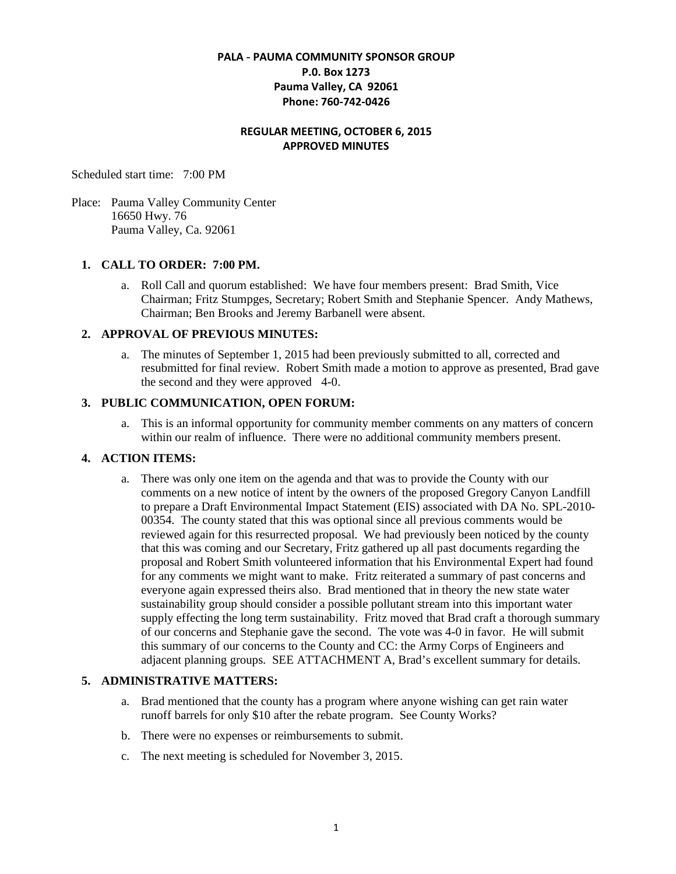# **PALA - PAUMA COMMUNITY SPONSOR GROUP P.0. Box 1273 Pauma Valley, CA 92061 Phone: 760-742-0426**

# **REGULAR MEETING, OCTOBER 6, 2015 APPROVED MINUTES**

Scheduled start time: 7:00 PM

Place: Pauma Valley Community Center 16650 Hwy. 76 Pauma Valley, Ca. 92061

## **1. CALL TO ORDER: 7:00 PM.**

a. Roll Call and quorum established: We have four members present: Brad Smith, Vice Chairman; Fritz Stumpges, Secretary; Robert Smith and Stephanie Spencer. Andy Mathews, Chairman; Ben Brooks and Jeremy Barbanell were absent.

## **2. APPROVAL OF PREVIOUS MINUTES:**

a. The minutes of September 1, 2015 had been previously submitted to all, corrected and resubmitted for final review. Robert Smith made a motion to approve as presented, Brad gave the second and they were approved 4-0.

#### **3. PUBLIC COMMUNICATION, OPEN FORUM:**

a. This is an informal opportunity for community member comments on any matters of concern within our realm of influence. There were no additional community members present.

## **4. ACTION ITEMS:**

a. There was only one item on the agenda and that was to provide the County with our comments on a new notice of intent by the owners of the proposed Gregory Canyon Landfill to prepare a Draft Environmental Impact Statement (EIS) associated with DA No. SPL-2010- 00354. The county stated that this was optional since all previous comments would be reviewed again for this resurrected proposal. We had previously been noticed by the county that this was coming and our Secretary, Fritz gathered up all past documents regarding the proposal and Robert Smith volunteered information that his Environmental Expert had found for any comments we might want to make. Fritz reiterated a summary of past concerns and everyone again expressed theirs also. Brad mentioned that in theory the new state water sustainability group should consider a possible pollutant stream into this important water supply effecting the long term sustainability. Fritz moved that Brad craft a thorough summary of our concerns and Stephanie gave the second. The vote was 4-0 in favor. He will submit this summary of our concerns to the County and CC: the Army Corps of Engineers and adjacent planning groups. SEE ATTACHMENT A, Brad's excellent summary for details.

## **5. ADMINISTRATIVE MATTERS:**

- a. Brad mentioned that the county has a program where anyone wishing can get rain water runoff barrels for only \$10 after the rebate program. See County Works?
- b. There were no expenses or reimbursements to submit.
- c. The next meeting is scheduled for November 3, 2015.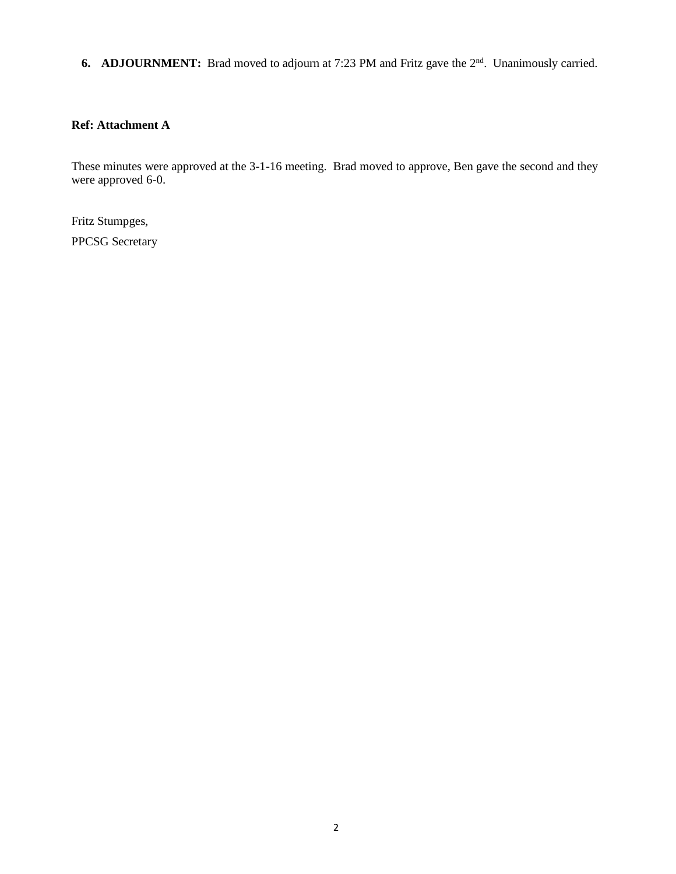**6. ADJOURNMENT:** Brad moved to adjourn at 7:23 PM and Fritz gave the 2<sup>nd</sup>. Unanimously carried.

# **Ref: Attachment A**

These minutes were approved at the 3-1-16 meeting. Brad moved to approve, Ben gave the second and they were approved 6-0.

Fritz Stumpges,

PPCSG Secretary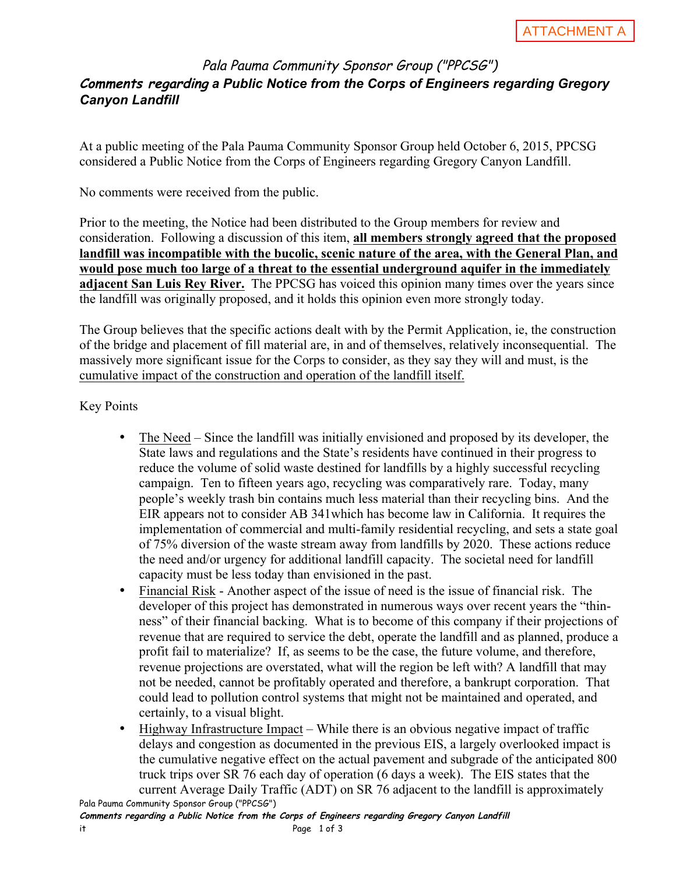# Pala Pauma Community Sponsor Group ("PPCSG") **Comments regarding** *a Public Notice from the Corps of Engineers regarding Gregory Canyon Landfill*

At a public meeting of the Pala Pauma Community Sponsor Group held October 6, 2015, PPCSG considered a Public Notice from the Corps of Engineers regarding Gregory Canyon Landfill.

No comments were received from the public.

Prior to the meeting, the Notice had been distributed to the Group members for review and consideration. Following a discussion of this item, **all members strongly agreed that the proposed landfill was incompatible with the bucolic, scenic nature of the area, with the General Plan, and would pose much too large of a threat to the essential underground aquifer in the immediately adjacent San Luis Rey River.** The PPCSG has voiced this opinion many times over the years since the landfill was originally proposed, and it holds this opinion even more strongly today.

The Group believes that the specific actions dealt with by the Permit Application, ie, the construction of the bridge and placement of fill material are, in and of themselves, relatively inconsequential. The massively more significant issue for the Corps to consider, as they say they will and must, is the cumulative impact of the construction and operation of the landfill itself.

Key Points

- The Need Since the landfill was initially envisioned and proposed by its developer, the State laws and regulations and the State's residents have continued in their progress to reduce the volume of solid waste destined for landfills by a highly successful recycling campaign. Ten to fifteen years ago, recycling was comparatively rare. Today, many people's weekly trash bin contains much less material than their recycling bins. And the EIR appears not to consider AB 341which has become law in California. It requires the implementation of commercial and multi-family residential recycling, and sets a state goal of 75% diversion of the waste stream away from landfills by 2020. These actions reduce the need and/or urgency for additional landfill capacity. The societal need for landfill capacity must be less today than envisioned in the past.
- Financial Risk Another aspect of the issue of need is the issue of financial risk. The developer of this project has demonstrated in numerous ways over recent years the "thinness" of their financial backing. What is to become of this company if their projections of revenue that are required to service the debt, operate the landfill and as planned, produce a profit fail to materialize? If, as seems to be the case, the future volume, and therefore, revenue projections are overstated, what will the region be left with? A landfill that may not be needed, cannot be profitably operated and therefore, a bankrupt corporation. That could lead to pollution control systems that might not be maintained and operated, and certainly, to a visual blight.
- Pala Pauma Community Sponsor Group ("PPCSG") • Highway Infrastructure Impact – While there is an obvious negative impact of traffic delays and congestion as documented in the previous EIS, a largely overlooked impact is the cumulative negative effect on the actual pavement and subgrade of the anticipated 800 truck trips over SR 76 each day of operation (6 days a week). The EIS states that the current Average Daily Traffic (ADT) on SR 76 adjacent to the landfill is approximately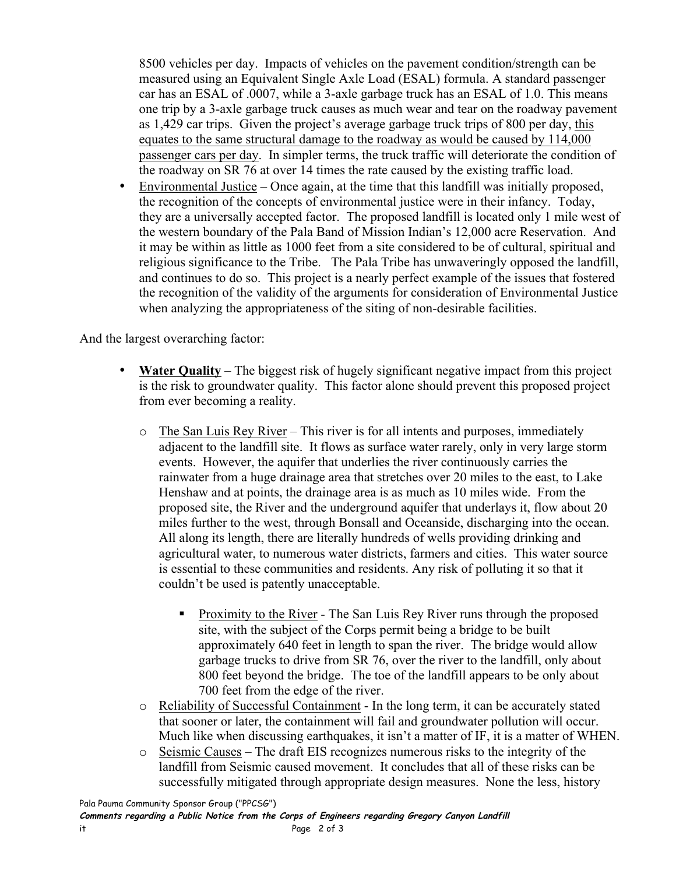8500 vehicles per day. Impacts of vehicles on the pavement condition/strength can be measured using an Equivalent Single Axle Load (ESAL) formula. A standard passenger car has an ESAL of .0007, while a 3-axle garbage truck has an ESAL of 1.0. This means one trip by a 3-axle garbage truck causes as much wear and tear on the roadway pavement as 1,429 car trips. Given the project's average garbage truck trips of 800 per day, this equates to the same structural damage to the roadway as would be caused by 114,000 passenger cars per day. In simpler terms, the truck traffic will deteriorate the condition of the roadway on SR 76 at over 14 times the rate caused by the existing traffic load.

• Environmental Justice – Once again, at the time that this landfill was initially proposed, the recognition of the concepts of environmental justice were in their infancy. Today, they are a universally accepted factor. The proposed landfill is located only 1 mile west of the western boundary of the Pala Band of Mission Indian's 12,000 acre Reservation. And it may be within as little as 1000 feet from a site considered to be of cultural, spiritual and religious significance to the Tribe. The Pala Tribe has unwaveringly opposed the landfill, and continues to do so. This project is a nearly perfect example of the issues that fostered the recognition of the validity of the arguments for consideration of Environmental Justice when analyzing the appropriateness of the siting of non-desirable facilities.

And the largest overarching factor:

- **Water Quality** The biggest risk of hugely significant negative impact from this project is the risk to groundwater quality. This factor alone should prevent this proposed project from ever becoming a reality.
	- o The San Luis Rey River This river is for all intents and purposes, immediately adjacent to the landfill site. It flows as surface water rarely, only in very large storm events. However, the aquifer that underlies the river continuously carries the rainwater from a huge drainage area that stretches over 20 miles to the east, to Lake Henshaw and at points, the drainage area is as much as 10 miles wide. From the proposed site, the River and the underground aquifer that underlays it, flow about 20 miles further to the west, through Bonsall and Oceanside, discharging into the ocean. All along its length, there are literally hundreds of wells providing drinking and agricultural water, to numerous water districts, farmers and cities. This water source is essential to these communities and residents. Any risk of polluting it so that it couldn't be used is patently unacceptable.
		- § Proximity to the River The San Luis Rey River runs through the proposed site, with the subject of the Corps permit being a bridge to be built approximately 640 feet in length to span the river. The bridge would allow garbage trucks to drive from SR 76, over the river to the landfill, only about 800 feet beyond the bridge. The toe of the landfill appears to be only about 700 feet from the edge of the river.
	- o Reliability of Successful Containment In the long term, it can be accurately stated that sooner or later, the containment will fail and groundwater pollution will occur. Much like when discussing earthquakes, it isn't a matter of IF, it is a matter of WHEN.
	- $\circ$  Seismic Causes The draft EIS recognizes numerous risks to the integrity of the landfill from Seismic caused movement. It concludes that all of these risks can be successfully mitigated through appropriate design measures. None the less, history